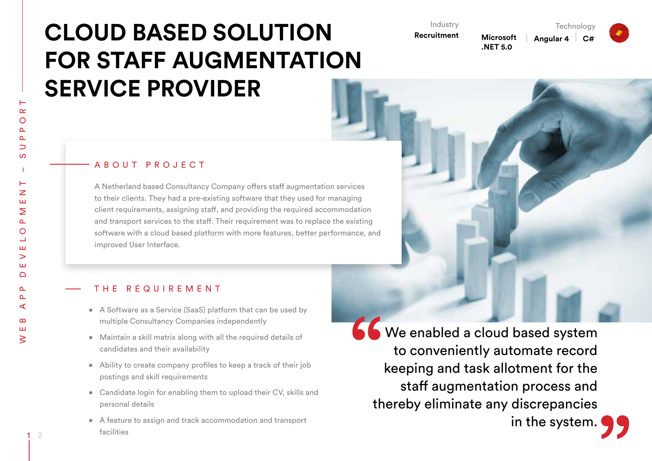# **CLOUD BASED SOLUTION FOR STAFF AUGMENTATION SERVICE PROVIDER**

Industry **Recruitment**

**Microsoft .NET 5.0**

**Angular 4 C#**

**Technology** 



## A B O U T P R O J E C T

A Netherland based Consultancy Company offers staff augmentation services to their clients. They had a pre-existing software that they used for managing client requirements, assigning staff, and providing the required accommodation and transport services to the staff. Their requirement was to replace the existing software with a cloud based platform with more features, better performance, and improved User Interface.

#### THE REQUIREMENT

- A Software as a Service (SaaS) platform that can be used by multiple Consultancy Companies independently
- Maintain a skill matrix along with all the required details of candidates and their availability
- Ability to create company profiles to keep a track of their job postings and skill requirements
- Candidate login for enabling them to upload their CV, skills and personal details
- • A feature to assign and track accommodation and transport facilities

66 We enabled a cloud based system to conveniently automate record keeping and task allotment for the staff augmentation process and thereby eliminate any discrepancies

1 2

in the system.